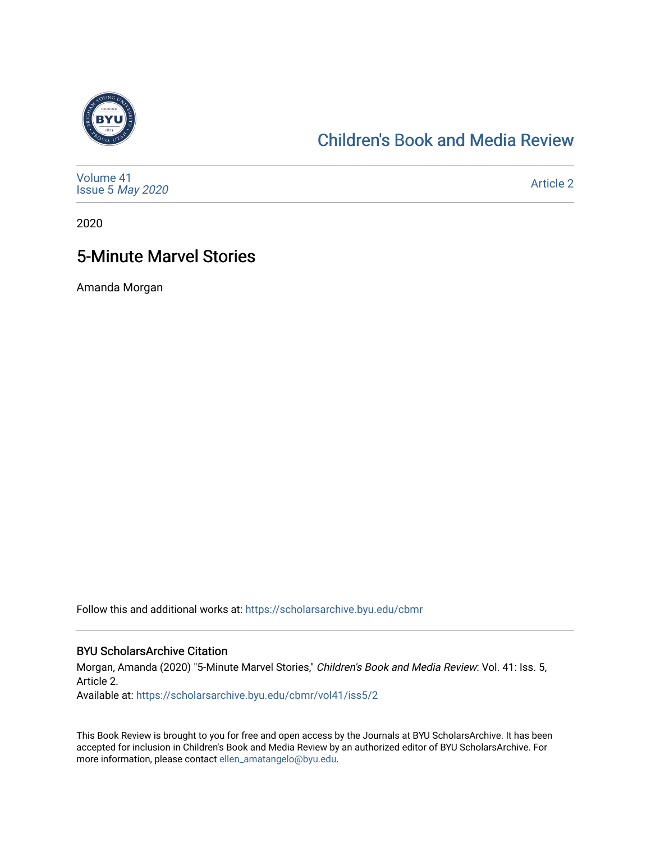

## [Children's Book and Media Review](https://scholarsarchive.byu.edu/cbmr)

| Volume 41<br>Issue 5 May 2020 | <b>Article 2</b> |
|-------------------------------|------------------|
|-------------------------------|------------------|

2020

## 5-Minute Marvel Stories

Amanda Morgan

Follow this and additional works at: [https://scholarsarchive.byu.edu/cbmr](https://scholarsarchive.byu.edu/cbmr?utm_source=scholarsarchive.byu.edu%2Fcbmr%2Fvol41%2Fiss5%2F2&utm_medium=PDF&utm_campaign=PDFCoverPages) 

#### BYU ScholarsArchive Citation

Morgan, Amanda (2020) "5-Minute Marvel Stories," Children's Book and Media Review: Vol. 41: Iss. 5, Article 2.

Available at: [https://scholarsarchive.byu.edu/cbmr/vol41/iss5/2](https://scholarsarchive.byu.edu/cbmr/vol41/iss5/2?utm_source=scholarsarchive.byu.edu%2Fcbmr%2Fvol41%2Fiss5%2F2&utm_medium=PDF&utm_campaign=PDFCoverPages) 

This Book Review is brought to you for free and open access by the Journals at BYU ScholarsArchive. It has been accepted for inclusion in Children's Book and Media Review by an authorized editor of BYU ScholarsArchive. For more information, please contact [ellen\\_amatangelo@byu.edu.](mailto:ellen_amatangelo@byu.edu)